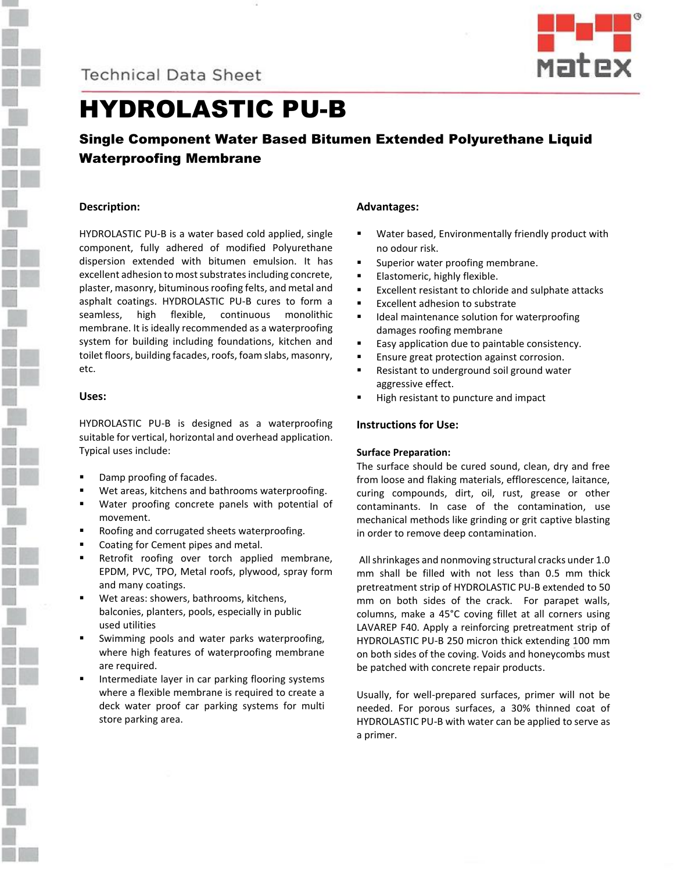

### **Technical Data Sheet**



## HYDROLASTIC PU-B

### Single Component Water Based Bitumen Extended Polyurethane Liquid Waterproofing Membrane

#### **Description:**

HYDROLASTIC PU-B is a water based cold applied, single component, fully adhered of modified Polyurethane dispersion extended with bitumen emulsion. It has excellent adhesion to most substrates including concrete, plaster, masonry, bituminous roofing felts, and metal and asphalt coatings. HYDROLASTIC PU-B cures to form a seamless, high flexible, continuous monolithic membrane. It is ideally recommended as a waterproofing system for building including foundations, kitchen and toilet floors, building facades, roofs, foam slabs, masonry, etc.

#### **Uses:**

HYDROLASTIC PU-B is designed as a waterproofing suitable for vertical, horizontal and overhead application. Typical uses include:

- Damp proofing of facades.
- Wet areas, kitchens and bathrooms waterproofing.
- Water proofing concrete panels with potential of movement.
- Roofing and corrugated sheets waterproofing.
- Coating for Cement pipes and metal.
- Retrofit roofing over torch applied membrane, EPDM, PVC, TPO, Metal roofs, plywood, spray form and many coatings.
- Wet areas: showers, bathrooms, kitchens, balconies, planters, pools, especially in public used utilities
- Swimming pools and water parks waterproofing, where high features of waterproofing membrane are required.
- Intermediate layer in car parking flooring systems where a flexible membrane is required to create a deck water proof car parking systems for multi store parking area.

#### **Advantages:**

- Water based, Environmentally friendly product with no odour risk.
- Superior water proofing membrane.
- **Elastomeric, highly flexible.**
- Excellent resistant to chloride and sulphate attacks
- Excellent adhesion to substrate
- Ideal maintenance solution for waterproofing damages roofing membrane
- Easy application due to paintable consistency.
- Ensure great protection against corrosion.
- Resistant to underground soil ground water aggressive effect.
- High resistant to puncture and impact

#### **Instructions for Use:**

#### **Surface Preparation:**

The surface should be cured sound, clean, dry and free from loose and flaking materials, efflorescence, laitance, curing compounds, dirt, oil, rust, grease or other contaminants. In case of the contamination, use mechanical methods like grinding or grit captive blasting in order to remove deep contamination.

All shrinkages and nonmoving structural cracks under 1.0 mm shall be filled with not less than 0.5 mm thick pretreatment strip of HYDROLASTIC PU-B extended to 50 mm on both sides of the crack. For parapet walls, columns, make a 45°C coving fillet at all corners using LAVAREP F40. Apply a reinforcing pretreatment strip of HYDROLASTIC PU-B 250 micron thick extending 100 mm on both sides of the coving. Voids and honeycombs must be patched with concrete repair products.

Usually, for well-prepared surfaces, primer will not be needed. For porous surfaces, a 30% thinned coat of HYDROLASTIC PU-B with water can be applied to serve as a primer.